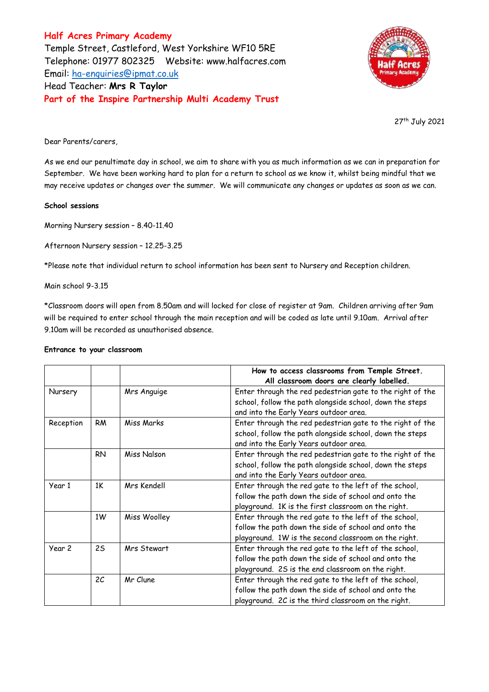**Half Acres Primary Academy** Temple Street, Castleford, West Yorkshire WF10 5RE Telephone: 01977 802325 Website: [www.halfacres.com](http://www.halfacres.com/) Email: [ha-enquiries@ipmat.co.uk](mailto:ha-enquiries@ipmat.co.uk) Head Teacher: **Mrs R Taylor Part of the Inspire Partnership Multi Academy Trust**



27th July 2021

Dear Parents/carers,

As we end our penultimate day in school, we aim to share with you as much information as we can in preparation for September. We have been working hard to plan for a return to school as we know it, whilst being mindful that we may receive updates or changes over the summer. We will communicate any changes or updates as soon as we can.

## **School sessions**

Morning Nursery session – 8.40-11.40

Afternoon Nursery session – 12.25-3.25

\*Please note that individual return to school information has been sent to Nursery and Reception children.

Main school 9-3.15

\*Classroom doors will open from 8.50am and will locked for close of register at 9am. Children arriving after 9am will be required to enter school through the main reception and will be coded as late until 9.10am. Arrival after 9.10am will be recorded as unauthorised absence.

|                   |                |              | How to access classrooms from Temple Street.<br>All classroom doors are clearly labelled.                                                                             |
|-------------------|----------------|--------------|-----------------------------------------------------------------------------------------------------------------------------------------------------------------------|
| Nursery           |                | Mrs Anguige  | Enter through the red pedestrian gate to the right of the<br>school, follow the path alongside school, down the steps<br>and into the Early Years outdoor area.       |
| Reception         | RM             | Miss Marks   | Enter through the red pedestrian gate to the right of the<br>school, follow the path alongside school, down the steps<br>and into the Early Years outdoor area.       |
|                   | <b>RN</b>      | Miss Nalson  | Enter through the red pedestrian gate to the right of the<br>school, follow the path alongside school, down the steps<br>and into the Early Years outdoor area.       |
| Year 1            | 1K             | Mrs Kendell  | Enter through the red gate to the left of the school,<br>follow the path down the side of school and onto the<br>playground. 1K is the first classroom on the right.  |
|                   | 1W             | Miss Woolley | Enter through the red gate to the left of the school,<br>follow the path down the side of school and onto the<br>playground. 1W is the second classroom on the right. |
| Year <sub>2</sub> | 25             | Mrs Stewart  | Enter through the red gate to the left of the school,<br>follow the path down the side of school and onto the<br>playground. 2S is the end classroom on the right.    |
|                   | 2 <sub>C</sub> | Mr Clune     | Enter through the red gate to the left of the school,<br>follow the path down the side of school and onto the<br>playground. 2C is the third classroom on the right.  |

### **Entrance to your classroom**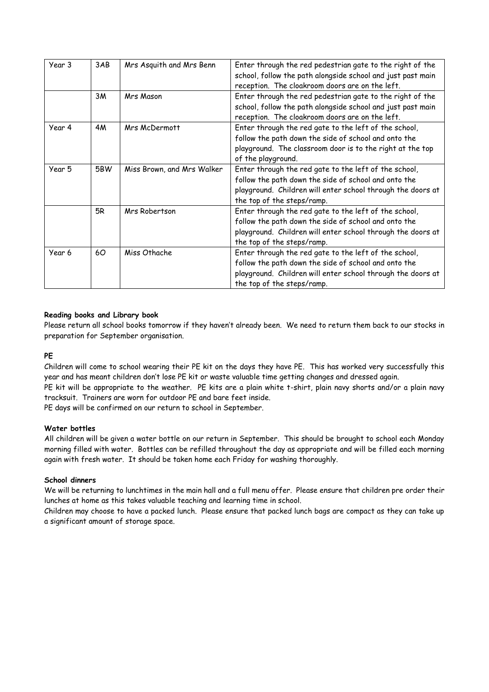| Year 3 | 3AB       | Mrs Asquith and Mrs Benn   | Enter through the red pedestrian gate to the right of the   |
|--------|-----------|----------------------------|-------------------------------------------------------------|
|        |           |                            | school, follow the path alongside school and just past main |
|        |           |                            | reception. The cloakroom doors are on the left.             |
|        | 3M        | <b>Mrs Mason</b>           | Enter through the red pedestrian gate to the right of the   |
|        |           |                            | school, follow the path alongside school and just past main |
|        |           |                            | reception. The cloakroom doors are on the left.             |
| Year 4 | <b>4M</b> | Mrs McDermott              | Enter through the red gate to the left of the school,       |
|        |           |                            | follow the path down the side of school and onto the        |
|        |           |                            | playground. The classroom door is to the right at the top   |
|        |           |                            | of the playground.                                          |
| Year 5 | 5BW       | Miss Brown, and Mrs Walker | Enter through the red gate to the left of the school,       |
|        |           |                            | follow the path down the side of school and onto the        |
|        |           |                            | playground. Children will enter school through the doors at |
|        |           |                            | the top of the steps/ramp.                                  |
|        | 5R        | Mrs Robertson              | Enter through the red gate to the left of the school,       |
|        |           |                            | follow the path down the side of school and onto the        |
|        |           |                            | playground. Children will enter school through the doors at |
|        |           |                            | the top of the steps/ramp.                                  |
| Year 6 | 60        | Miss Othache               | Enter through the red gate to the left of the school,       |
|        |           |                            | follow the path down the side of school and onto the        |
|        |           |                            | playground. Children will enter school through the doors at |
|        |           |                            | the top of the steps/ramp.                                  |

# **Reading books and Library book**

Please return all school books tomorrow if they haven't already been. We need to return them back to our stocks in preparation for September organisation.

## **PE**

Children will come to school wearing their PE kit on the days they have PE. This has worked very successfully this year and has meant children don't lose PE kit or waste valuable time getting changes and dressed again.

PE kit will be appropriate to the weather. PE kits are a plain white t-shirt, plain navy shorts and/or a plain navy tracksuit. Trainers are worn for outdoor PE and bare feet inside.

PE days will be confirmed on our return to school in September.

## **Water bottles**

All children will be given a water bottle on our return in September. This should be brought to school each Monday morning filled with water. Bottles can be refilled throughout the day as appropriate and will be filled each morning again with fresh water. It should be taken home each Friday for washing thoroughly.

## **School dinners**

We will be returning to lunchtimes in the main hall and a full menu offer. Please ensure that children pre order their lunches at home as this takes valuable teaching and learning time in school.

Children may choose to have a packed lunch. Please ensure that packed lunch bags are compact as they can take up a significant amount of storage space.